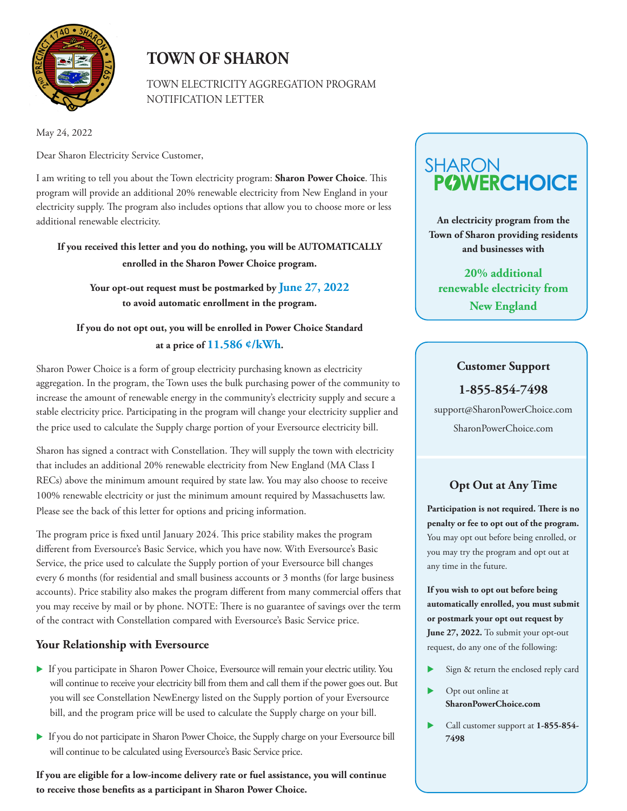

## **TOWN OF SHARON**

TOWN ELECTRICITY AGGREGATION PROGRAM NOTIFICATION LETTER

May 24, 2022

Dear Sharon Electricity Service Customer,

I am writing to tell you about the Town electricity program: **Sharon Power Choice**. This program will provide an additional 20% renewable electricity from New England in your electricity supply. The program also includes options that allow you to choose more or less additional renewable electricity.

**If you received this letter and you do nothing, you will be AUTOMATICALLY enrolled in the Sharon Power Choice program.** 

**Your opt-out request must be postmarked by June 27, 2022 to avoid automatic enrollment in the program.** 

### **If you do not opt out, you will be enrolled in Power Choice Standard at a price of 11.586 ¢/kWh.**

Sharon Power Choice is a form of group electricity purchasing known as electricity aggregation. In the program, the Town uses the bulk purchasing power of the community to increase the amount of renewable energy in the community's electricity supply and secure a stable electricity price. Participating in the program will change your electricity supplier and the price used to calculate the Supply charge portion of your Eversource electricity bill.

Sharon has signed a contract with Constellation. They will supply the town with electricity that includes an additional 20% renewable electricity from New England (MA Class I RECs) above the minimum amount required by state law. You may also choose to receive 100% renewable electricity or just the minimum amount required by Massachusetts law. Please see the back of this letter for options and pricing information.

The program price is fixed until January 2024. This price stability makes the program different from Eversource's Basic Service, which you have now. With Eversource's Basic Service, the price used to calculate the Supply portion of your Eversource bill changes every 6 months (for residential and small business accounts or 3 months (for large business accounts). Price stability also makes the program different from many commercial offers that you may receive by mail or by phone. NOTE: There is no guarantee of savings over the term of the contract with Constellation compared with Eversource's Basic Service price.

#### **Your Relationship with Eversource**

- If you participate in Sharon Power Choice, Eversource will remain your electric utility. You will continue to receive your electricity bill from them and call them if the power goes out. But you will see Constellation NewEnergy listed on the Supply portion of your Eversource bill, and the program price will be used to calculate the Supply charge on your bill.
- If you do not participate in Sharon Power Choice, the Supply charge on your Eversource bill will continue to be calculated using Eversource's Basic Service price.

**If you are eligible for a low-income delivery rate or fuel assistance, you will continue to receive those benefits as a participant in Sharon Power Choice.** 

# **POWERCHOICE SHARON**

**An electricity program from the Town of Sharon providing residents and businesses with** 

**20% additional renewable electricity from New England**

#### **Customer Support**

**1-855-854-7498**

support@SharonPowerChoice.com SharonPowerChoice.com

## **Opt Out at Any Time**

**Participation is not required. There is no penalty or fee to opt out of the program.**  You may opt out before being enrolled, or you may try the program and opt out at any time in the future.

**If you wish to opt out before being automatically enrolled, you must submit or postmark your opt out request by June 27, 2022.** To submit your opt-out request, do any one of the following:

- Sign & return the enclosed reply card
- Opt out online at **SharonPowerChoice.com**
- Call customer support at **1-855-854- 7498**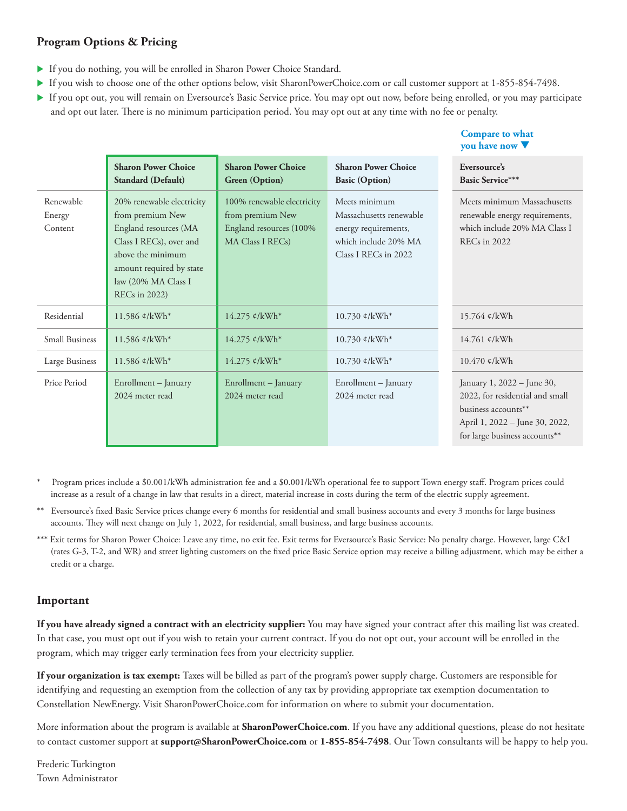#### **Program Options & Pricing**

- If you do nothing, you will be enrolled in Sharon Power Choice Standard.
- If you wish to choose one of the other options below, visit SharonPowerChoice.com or call customer support at 1-855-854-7498.
- If you opt out, you will remain on Eversource's Basic Service price. You may opt out now, before being enrolled, or you may participate and opt out later. There is no minimum participation period. You may opt out at any time with no fee or penalty.

**Compare to what** 

|                                |                                                                                                                                                                                                   |                                                                                               |                                                                                                                  | you have now $\nabla$                                                                                                                                   |
|--------------------------------|---------------------------------------------------------------------------------------------------------------------------------------------------------------------------------------------------|-----------------------------------------------------------------------------------------------|------------------------------------------------------------------------------------------------------------------|---------------------------------------------------------------------------------------------------------------------------------------------------------|
|                                | <b>Sharon Power Choice</b><br>Standard (Default)                                                                                                                                                  | <b>Sharon Power Choice</b><br><b>Green</b> (Option)                                           | <b>Sharon Power Choice</b><br><b>Basic (Option)</b>                                                              | Eversource's<br><b>Basic Service***</b>                                                                                                                 |
| Renewable<br>Energy<br>Content | 20% renewable electricity<br>from premium New<br>England resources (MA<br>Class I RECs), over and<br>above the minimum<br>amount required by state<br>law (20% MA Class I<br><b>RECs</b> in 2022) | 100% renewable electricity<br>from premium New<br>England resources (100%<br>MA Class I RECs) | Meets minimum<br>Massachusetts renewable<br>energy requirements,<br>which include 20% MA<br>Class I RECs in 2022 | Meets minimum Massachusetts<br>renewable energy requirements,<br>which include 20% MA Class I<br>REC <sub>s</sub> in 2022                               |
| Residential                    | 11.586 ¢/kWh*                                                                                                                                                                                     | 14.275 ¢/kWh*                                                                                 | $10.730 \text{ c/kWh}^*$                                                                                         | 15.764 ¢/kWh                                                                                                                                            |
| <b>Small Business</b>          | 11.586 $\ell$ /kWh*                                                                                                                                                                               | 14.275 ¢/kWh*                                                                                 | $10.730 \text{ c/kWh}^*$                                                                                         | $14.761$ ¢/kWh                                                                                                                                          |
| Large Business                 | 11.586 ¢/kWh*                                                                                                                                                                                     | 14.275 ¢/kWh*                                                                                 | 10.730 ¢/kWh*                                                                                                    | $10.470$ ¢/kWh                                                                                                                                          |
| Price Period                   | Enrollment - January<br>2024 meter read                                                                                                                                                           | Enrollment - January<br>2024 meter read                                                       | Enrollment - January<br>2024 meter read                                                                          | January 1, 2022 - June 30,<br>2022, for residential and small<br>business accounts**<br>April 1, 2022 - June 30, 2022,<br>for large business accounts** |

- \* Program prices include a \$0.001/kWh administration fee and a \$0.001/kWh operational fee to support Town energy staff. Program prices could increase as a result of a change in law that results in a direct, material increase in costs during the term of the electric supply agreement.
- \*\* Eversource's fixed Basic Service prices change every 6 months for residential and small business accounts and every 3 months for large business accounts. They will next change on July 1, 2022, for residential, small business, and large business accounts.
- \*\*\* Exit terms for Sharon Power Choice: Leave any time, no exit fee. Exit terms for Eversource's Basic Service: No penalty charge. However, large C&I (rates G-3, T-2, and WR) and street lighting customers on the fixed price Basic Service option may receive a billing adjustment, which may be either a credit or a charge.

#### **Important**

**If you have already signed a contract with an electricity supplier:** You may have signed your contract after this mailing list was created. In that case, you must opt out if you wish to retain your current contract. If you do not opt out, your account will be enrolled in the program, which may trigger early termination fees from your electricity supplier.

**If your organization is tax exempt:** Taxes will be billed as part of the program's power supply charge. Customers are responsible for identifying and requesting an exemption from the collection of any tax by providing appropriate tax exemption documentation to Constellation NewEnergy. Visit SharonPowerChoice.com for information on where to submit your documentation.

More information about the program is available at **SharonPowerChoice.com**. If you have any additional questions, please do not hesitate to contact customer support at **support@SharonPowerChoice.com** or **1-855-854-7498**. Our Town consultants will be happy to help you.

Frederic Turkington Town Administrator